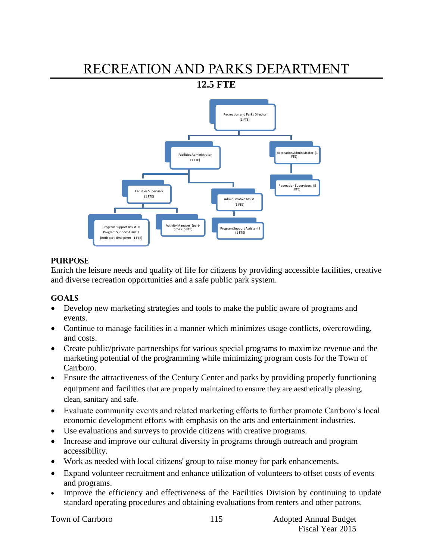# RECREATION AND PARKS DEPARTMENT

**12.5 FTE**



## **PURPOSE**

Enrich the leisure needs and quality of life for citizens by providing accessible facilities, creative and diverse recreation opportunities and a safe public park system.

## **GOALS**

- Develop new marketing strategies and tools to make the public aware of programs and events.
- Continue to manage facilities in a manner which minimizes usage conflicts, overcrowding, and costs.
- Create public/private partnerships for various special programs to maximize revenue and the marketing potential of the programming while minimizing program costs for the Town of Carrboro.
- Ensure the attractiveness of the Century Center and parks by providing properly functioning equipment and facilities that are properly maintained to ensure they are aesthetically pleasing, clean, sanitary and safe.
- Evaluate community events and related marketing efforts to further promote Carrboro's local economic development efforts with emphasis on the arts and entertainment industries.
- Use evaluations and surveys to provide citizens with creative programs.
- Increase and improve our cultural diversity in programs through outreach and program accessibility.
- Work as needed with local citizens' group to raise money for park enhancements.
- Expand volunteer recruitment and enhance utilization of volunteers to offset costs of events and programs.
- Improve the efficiency and effectiveness of the Facilities Division by continuing to update standard operating procedures and obtaining evaluations from renters and other patrons.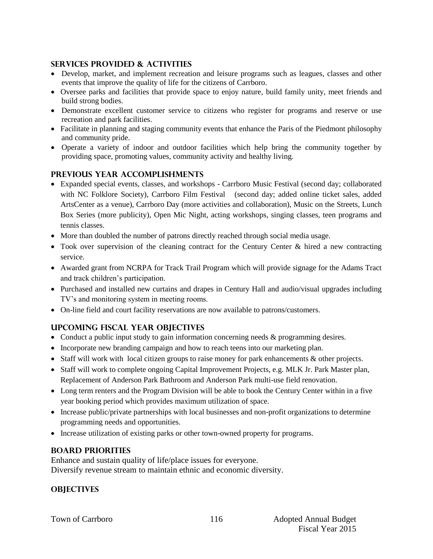## **SERVICES PROVIDED & ACTIVITIES**

- Develop, market, and implement recreation and leisure programs such as leagues, classes and other events that improve the quality of life for the citizens of Carrboro.
- Oversee parks and facilities that provide space to enjoy nature, build family unity, meet friends and build strong bodies.
- Demonstrate excellent customer service to citizens who register for programs and reserve or use recreation and park facilities.
- Facilitate in planning and staging community events that enhance the Paris of the Piedmont philosophy and community pride.
- Operate a variety of indoor and outdoor facilities which help bring the community together by providing space, promoting values, community activity and healthy living.

## **PREVIOUS YEAR ACCOMPLISHMENTS**

- Expanded special events, classes, and workshops Carrboro Music Festival (second day; collaborated with NC Folklore Society), Carrboro Film Festival (second day; added online ticket sales, added ArtsCenter as a venue), Carrboro Day (more activities and collaboration), Music on the Streets, Lunch Box Series (more publicity), Open Mic Night, acting workshops, singing classes, teen programs and tennis classes.
- More than doubled the number of patrons directly reached through social media usage.
- Took over supervision of the cleaning contract for the Century Center & hired a new contracting service.
- Awarded grant from NCRPA for Track Trail Program which will provide signage for the Adams Tract and track children's participation.
- Purchased and installed new curtains and drapes in Century Hall and audio/visual upgrades including TV's and monitoring system in meeting rooms.
- On-line field and court facility reservations are now available to patrons/customers.

## **UPCOMING FISCAL YEAR OBJECTIVES**

- Conduct a public input study to gain information concerning needs & programming desires.
- Incorporate new branding campaign and how to reach teens into our marketing plan.
- Staff will work with local citizen groups to raise money for park enhancements & other projects.
- Staff will work to complete ongoing Capital Improvement Projects, e.g. MLK Jr. Park Master plan, Replacement of Anderson Park Bathroom and Anderson Park multi-use field renovation.
- Long term renters and the Program Division will be able to book the Century Center within in a five year booking period which provides maximum utilization of space.
- Increase public/private partnerships with local businesses and non-profit organizations to determine programming needs and opportunities.
- Increase utilization of existing parks or other town-owned property for programs.

## **BOARD PRIORITIES**

Enhance and sustain quality of life/place issues for everyone. Diversify revenue stream to maintain ethnic and economic diversity.

## **OBJECTIVES**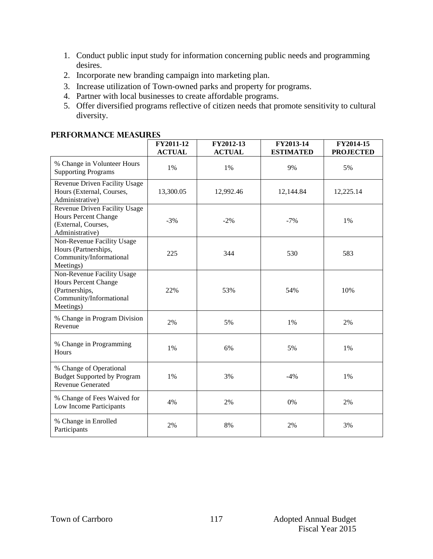- 1. Conduct public input study for information concerning public needs and programming desires.
- 2. Incorporate new branding campaign into marketing plan.
- 3. Increase utilization of Town-owned parks and property for programs.
- 4. Partner with local businesses to create affordable programs.
- 5. Offer diversified programs reflective of citizen needs that promote sensitivity to cultural diversity.

### **Performance Measures**

|                                                                                                                     | FY2011-12<br><b>ACTUAL</b> | FY2012-13<br><b>ACTUAL</b> | FY2013-14<br><b>ESTIMATED</b> | FY2014-15<br><b>PROJECTED</b> |
|---------------------------------------------------------------------------------------------------------------------|----------------------------|----------------------------|-------------------------------|-------------------------------|
| % Change in Volunteer Hours<br><b>Supporting Programs</b>                                                           | 1%                         | 1%                         | 9%                            | 5%                            |
| Revenue Driven Facility Usage<br>Hours (External, Courses,<br>Administrative)                                       | 13,300.05                  | 12,992.46                  | 12,144.84                     | 12,225.14                     |
| Revenue Driven Facility Usage<br><b>Hours Percent Change</b><br>(External, Courses,<br>Administrative)              | $-3%$                      | $-2%$                      | $-7%$                         | 1%                            |
| Non-Revenue Facility Usage<br>Hours (Partnerships,<br>Community/Informational<br>Meetings)                          | 225                        | 344                        | 530                           | 583                           |
| Non-Revenue Facility Usage<br><b>Hours Percent Change</b><br>(Partnerships,<br>Community/Informational<br>Meetings) | 22%                        | 53%                        | 54%                           | 10%                           |
| % Change in Program Division<br>Revenue                                                                             | 2%                         | 5%                         | 1%                            | 2%                            |
| % Change in Programming<br><b>Hours</b>                                                                             | $1\%$                      | 6%                         | 5%                            | $1\%$                         |
| % Change of Operational<br><b>Budget Supported by Program</b><br><b>Revenue Generated</b>                           | 1%                         | 3%                         | $-4%$                         | 1%                            |
| % Change of Fees Waived for<br>Low Income Participants                                                              | 4%                         | 2%                         | 0%                            | 2%                            |
| % Change in Enrolled<br>Participants                                                                                | 2%                         | 8%                         | 2%                            | 3%                            |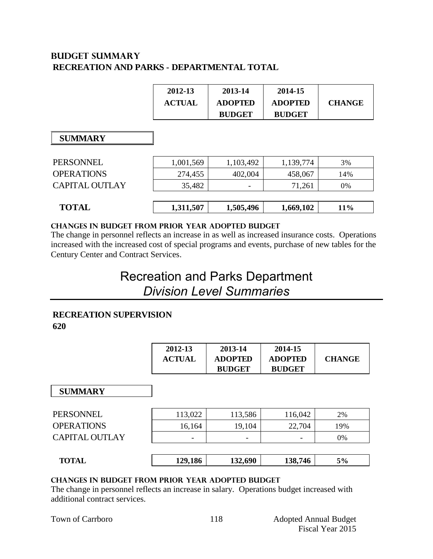## **BUDGET summary RECREATION AND PARKS - DEPARTMENTAL TOTAL**

|                       | 2012-13<br><b>ACTUAL</b> | 2013-14<br><b>ADOPTED</b><br><b>BUDGET</b> | 2014-15<br><b>ADOPTED</b><br><b>BUDGET</b> | <b>CHANGE</b> |
|-----------------------|--------------------------|--------------------------------------------|--------------------------------------------|---------------|
| <b>SUMMARY</b>        |                          |                                            |                                            |               |
| <b>PERSONNEL</b>      | 1,001,569                | 1,103,492                                  | 1,139,774                                  | 3%            |
| <b>OPERATIONS</b>     | 274,455                  | 402,004                                    | 458,067                                    | 14%           |
| <b>CAPITAL OUTLAY</b> | 35,482                   |                                            | 71,261                                     | 0%            |
|                       |                          |                                            |                                            |               |
| <b>TOTAL</b>          | 1,311,507                | 1,505,496                                  | 1,669,102                                  | 11%           |

#### **CHANGES IN BUDGET from PRIOR YEAR ADOPTED BUDGET**

The change in personnel reflects an increase in as well as increased insurance costs. Operations increased with the increased cost of special programs and events, purchase of new tables for the Century Center and Contract Services.

## Recreation and Parks Department *Division Level Summaries*

## **RECREATION SUPERVISION**

**620**

|    | 2012-13<br><b>ACTUAL</b> | 2013-14<br><b>ADOPTED</b><br><b>BUDGET</b> | 2014-15<br><b>ADOPTED</b><br><b>BUDGET</b> | <b>CHANGE</b> |
|----|--------------------------|--------------------------------------------|--------------------------------------------|---------------|
| -- |                          |                                            |                                            |               |

| <b>SUMMARY</b>        |         |         |         |     |
|-----------------------|---------|---------|---------|-----|
| PERSONNEL             | 113,022 | 113,586 | 116,042 | 2%  |
| <b>OPERATIONS</b>     | 16,164  | 19,104  | 22,704  | 19% |
| <b>CAPITAL OUTLAY</b> |         |         |         | 0%  |
|                       |         |         |         |     |
| <b>TOTAL</b>          | 129,186 | 132,690 | 138,746 | 5%  |
|                       |         |         |         |     |

## **changes in budget from prior year adopted budget**

The change in personnel reflects an increase in salary. Operations budget increased with additional contract services.

|  |  | Town of Carrboro |
|--|--|------------------|
|--|--|------------------|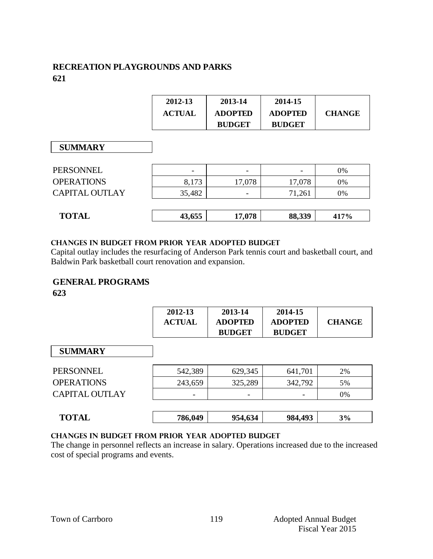## **RECREATION PLAYGROUNDS AND PARKS 621**

| 2012-13       | 2013-14        | 2014-15        |               |
|---------------|----------------|----------------|---------------|
| <b>ACTUAL</b> | <b>ADOPTED</b> | <b>ADOPTED</b> | <b>CHANGE</b> |
|               | <b>BUDGET</b>  | <b>BUDGET</b>  |               |

## **SUMMARY**

| <b>SUMMARY</b>    |                          |        |        |      |
|-------------------|--------------------------|--------|--------|------|
| PERSONNEL         | $\overline{\phantom{a}}$ |        |        | 0%   |
| <b>OPERATIONS</b> | 8,173                    | 17,078 | 17,078 | 0%   |
| CAPITAL OUTLAY    | 35,482                   |        | 71,261 | 0%   |
|                   |                          |        |        |      |
| <b>TOTAL</b>      | 43,655                   | 17,078 | 88,339 | 417% |

### **changes in budget from prior year adopted budget**

Capital outlay includes the resurfacing of Anderson Park tennis court and basketball court, and Baldwin Park basketball court renovation and expansion.

## **GENERAL PROGRAMS**

**623**

|                   | 2012-13<br><b>ACTUAL</b> | 2013-14<br><b>ADOPTED</b><br><b>BUDGET</b> | 2014-15<br><b>ADOPTED</b><br><b>BUDGET</b> | <b>CHANGE</b> |
|-------------------|--------------------------|--------------------------------------------|--------------------------------------------|---------------|
| <b>SUMMARY</b>    |                          |                                            |                                            |               |
| PERSONNEL         | 542,389                  | 629,345                                    | 641,701                                    | 2%            |
| <b>OPERATIONS</b> | 243,659                  | 325,289                                    | 342,792                                    | 5%            |
| CAPITAL OUTLAY    |                          |                                            |                                            | 0%            |
| <b>TOTAL</b>      | 786,049                  | 954,634                                    | 984,493                                    | 3%            |

### **Changes in budget from prior year adopted budget**

The change in personnel reflects an increase in salary. Operations increased due to the increased cost of special programs and events.